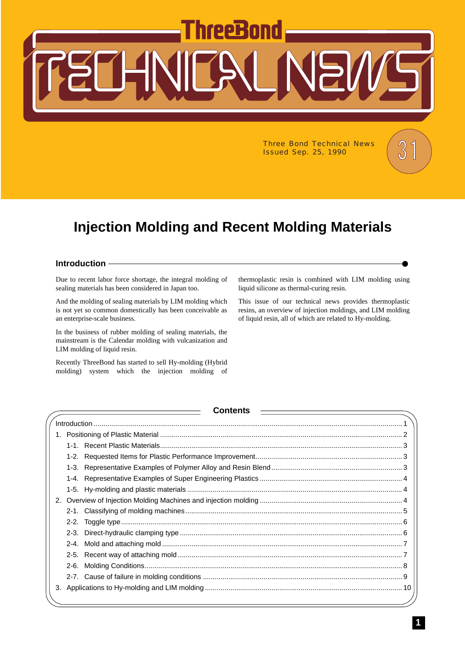# PPR

Three Bond Technical News  $\begin{pmatrix} 0 \\ 0 \end{pmatrix}$ **Issued Sep. 25, 1990** 

# **Injection Molding and Recent Molding Materials**

#### <span id="page-0-0"></span>**Introduction**

Due to recent labor force shortage, the integral molding of sealing materials has been considered in Japan too.

And the molding of sealing materials by LIM molding which is not yet so common domestically has been conceivable as an enterprise-scale business.

In the business of rubber molding of sealing materials, the mainstream is the Calendar molding with vulcanization and LIM molding of liquid resin.

Recently ThreeBond has started to sell Hy-molding (Hybrid molding) system which the injection molding of thermoplastic resin is combined with LIM molding using liquid silicone as thermal-curing resin.

This issue of our technical news provides thermoplastic resins, an overview of injection moldings, and LIM molding of liquid resin, all of which are related to Hy-molding.

# **Contents**

| 2. |  |  |
|----|--|--|
|    |  |  |
|    |  |  |
|    |  |  |
|    |  |  |
|    |  |  |
|    |  |  |
|    |  |  |
| 3. |  |  |
|    |  |  |

 $\Big)$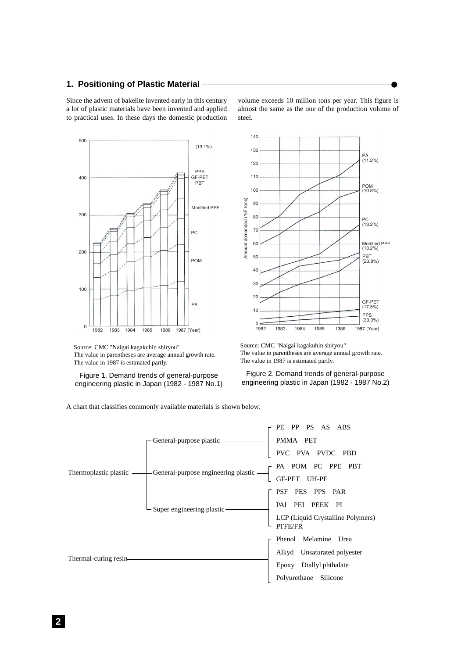# <span id="page-1-0"></span>**1. Positioning of Plastic Material**

Since the advent of bakelite invented early in this century a lot of plastic materials have been invented and applied to practical uses. In these days the domestic production



Source: CMC "Naigai kagakuhin shiryou" The value in parentheses are average annual growth rate. The value in 1987 is estimated partly.

Figure 1. Demand trends of general-purpose engineering plastic in Japan (1982 - 1987 No.1) volume exceeds 10 million tons per year. This figure is almost the same as the one of the production volume of steel.



Source: CMC "Naigai kagakuhin shiryou" The value in parentheses are average annual growth rate. The value in 1987 is estimated partly.

Figure 2. Demand trends of general-purpose engineering plastic in Japan (1982 - 1987 No.2)

A chart that classifies commonly available materials is shown below.

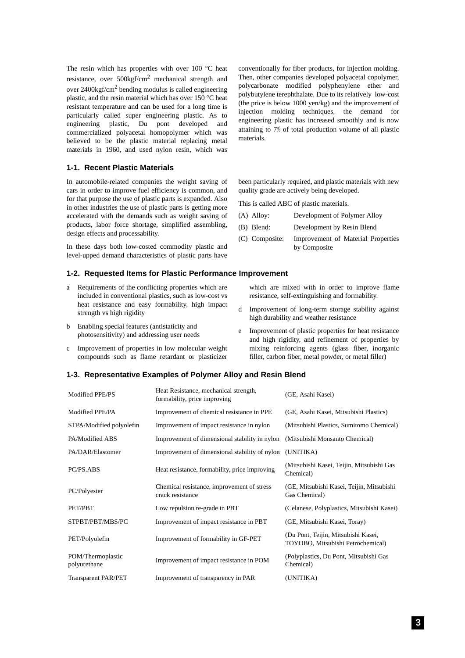The resin which has properties with over 100 °C heat resistance, over  $500\text{kgf/cm}^2$  mechanical strength and over  $2400\text{kgf/cm}^2$  bending modulus is called engineering plastic, and the resin material which has over 150 °C heat resistant temperature and can be used for a long time is particularly called super engineering plastic. As to engineering plastic, Du pont developed and commercialized polyacetal homopolymer which was believed to be the plastic material replacing metal materials in 1960, and used nylon resin, which was

### <span id="page-2-0"></span>**1-1. Recent Plastic Materials**

In automobile-related companies the weight saving of cars in order to improve fuel efficiency is common, and for that purpose the use of plastic parts is expanded. Also in other industries the use of plastic parts is getting more accelerated with the demands such as weight saving of products, labor force shortage, simplified assembling, design effects and processability.

In these days both low-costed commodity plastic and level-upped demand characteristics of plastic parts have

#### <span id="page-2-1"></span>**1-2. Requested Items for Plastic Performance Improvement**

- a Requirements of the conflicting properties which are included in conventional plastics, such as low-cost vs heat resistance and easy formability, high impact strength vs high rigidity
- b Enabling special features (antistaticity and photosensitivity) and addressing user needs
- c Improvement of properties in low molecular weight compounds such as flame retardant or plasticizer

#### <span id="page-2-2"></span>**1-3. Representative Examples of Polymer Alloy and Resin Blend**

| Modified PPE/PS                   | Heat Resistance, mechanical strength,<br>formability, price improving | (GE, Asahi Kasei)                                                        |
|-----------------------------------|-----------------------------------------------------------------------|--------------------------------------------------------------------------|
| Modified PPE/PA                   | Improvement of chemical resistance in PPE                             | (GE, Asahi Kasei, Mitsubishi Plastics)                                   |
| STPA/Modified polyolefin          | Improvement of impact resistance in nylon                             | (Mitsubishi Plastics, Sumitomo Chemical)                                 |
| PA/Modified ABS                   | Improvement of dimensional stability in nylon                         | (Mitsubishi Monsanto Chemical)                                           |
| PA/DAR/Elastomer                  | Improvement of dimensional stability of nylon                         | (UNITIKA)                                                                |
| PC/PS.ABS                         | Heat resistance, formability, price improving                         | (Mitsubishi Kasei, Teijin, Mitsubishi Gas<br>Chemical)                   |
| PC/Polyester                      | Chemical resistance, improvement of stress<br>crack resistance        | (GE, Mitsubishi Kasei, Teijin, Mitsubishi<br>Gas Chemical)               |
| PET/PBT                           | Low repulsion re-grade in PBT                                         | (Celanese, Polyplastics, Mitsubishi Kasei)                               |
| STPBT/PBT/MBS/PC                  | Improvement of impact resistance in PBT                               | (GE, Mitsubishi Kasei, Toray)                                            |
| PET/Polyolefin                    | Improvement of formability in GF-PET                                  | (Du Pont, Teijin, Mitsubishi Kasei,<br>TOYOBO, Mitsubishi Petrochemical) |
| POM/Thermoplastic<br>polyurethane | Improvement of impact resistance in POM                               | (Polyplastics, Du Pont, Mitsubishi Gas<br>Chemical)                      |
| <b>Transparent PAR/PET</b>        | Improvement of transparency in PAR                                    | (UNITIKA)                                                                |

conventionally for fiber products, for injection molding. Then, other companies developed polyacetal copolymer, polycarbonate modified polyphenylene ether and polybutylene terephthalate. Due to its relatively low-cost (the price is below 1000 yen/kg) and the improvement of injection molding techniques, the demand for engineering plastic has increased smoothly and is now attaining to 7% of total production volume of all plastic materials.

been particularly required, and plastic materials with new quality grade are actively being developed.

This is called ABC of plastic materials.

- (A) Alloy: Development of Polymer Alloy
- (B) Blend: Development by Resin Blend
- (C) Composite: Improvement of Material Properties by Composite

which are mixed with in order to improve flame resistance, self-extinguishing and formability.

- d Improvement of long-term storage stability against high durability and weather resistance
- Improvement of plastic properties for heat resistance and high rigidity, and refinement of properties by mixing reinforcing agents (glass fiber, inorganic filler, carbon fiber, metal powder, or metal filler)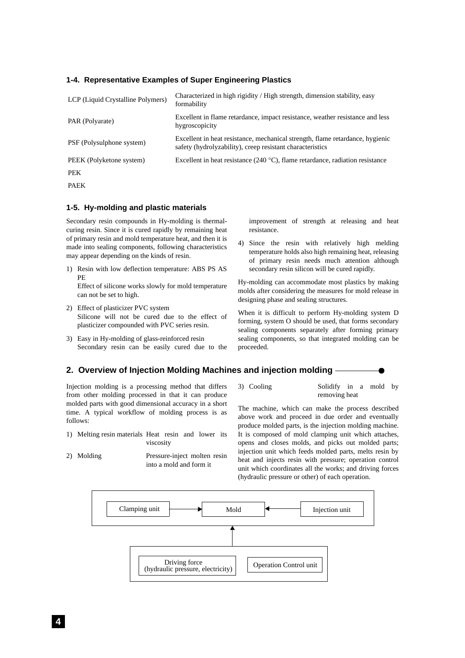#### <span id="page-3-0"></span>**1-4. Representative Examples of Super Engineering Plastics**

| LCP (Liquid Crystalline Polymers) | Characterized in high rigidity / High strength, dimension stability, easy<br>formability                                                   |
|-----------------------------------|--------------------------------------------------------------------------------------------------------------------------------------------|
| PAR (Polyarate)                   | Excellent in flame retardance, impact resistance, weather resistance and less<br>hygroscopicity                                            |
| PSF (Polysulphone system)         | Excellent in heat resistance, mechanical strength, flame retardance, hygienic<br>safety (hydrolyzability), creep resistant characteristics |
| PEEK (Polyketone system)          | Excellent in heat resistance (240 $^{\circ}$ C), flame retardance, radiation resistance                                                    |
| <b>PEK</b>                        |                                                                                                                                            |
| <b>PAEK</b>                       |                                                                                                                                            |

#### <span id="page-3-1"></span>**1-5. Hy-molding and plastic materials**

Secondary resin compounds in Hy-molding is thermalcuring resin. Since it is cured rapidly by remaining heat of primary resin and mold temperature heat, and then it is made into sealing components, following characteristics may appear depending on the kinds of resin.

- 1) Resin with low deflection temperature: ABS PS AS PE Effect of silicone works slowly for mold temperature can not be set to high.
- 2) Effect of plasticizer PVC system Silicone will not be cured due to the effect of plasticizer compounded with PVC series resin.
- 3) Easy in Hy-molding of glass-reinforced resin Secondary resin can be easily cured due to the

improvement of strength at releasing and heat resistance.

4) Since the resin with relatively high melding temperature holds also high remaining heat, releasing of primary resin needs much attention although secondary resin silicon will be cured rapidly.

Hy-molding can accommodate most plastics by making molds after considering the measures for mold release in designing phase and sealing structures.

When it is difficult to perform Hy-molding system D forming, system O should be used, that forms secondary sealing components separately after forming primary sealing components, so that integrated molding can be proceeded.

#### <span id="page-3-2"></span>**2. Overview of Injection Molding Machines and injection molding**

Injection molding is a processing method that differs from other molding processed in that it can produce molded parts with good dimensional accuracy in a short time. A typical workflow of molding process is as follows:

- 1) Melting resin materials Heat resin and lower its viscosity
- 2) Molding Pressure-inject molten resin into a mold and form it

3) Cooling Solidify in a mold by removing heat

The machine, which can make the process described above work and proceed in due order and eventually produce molded parts, is the injection molding machine. It is composed of mold clamping unit which attaches, opens and closes molds, and picks out molded parts; injection unit which feeds molded parts, melts resin by heat and injects resin with pressure; operation control unit which coordinates all the works; and driving forces (hydraulic pressure or other) of each operation.

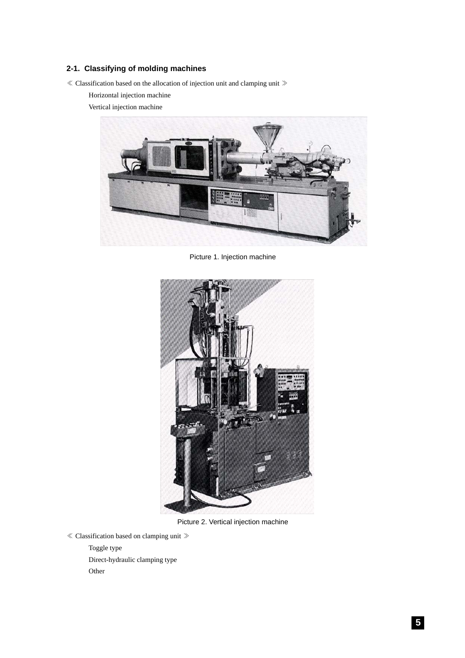# <span id="page-4-0"></span>**2-1. Classifying of molding machines**

 $\ll$  Classification based on the allocation of injection unit and clamping unit  $\gg$ 

Horizontal injection machine

Vertical injection machine



Picture 1. Injection machine



Picture 2. Vertical injection machine

≪ Classification based on clamping unit ≫

Toggle type Direct-hydraulic clamping type Other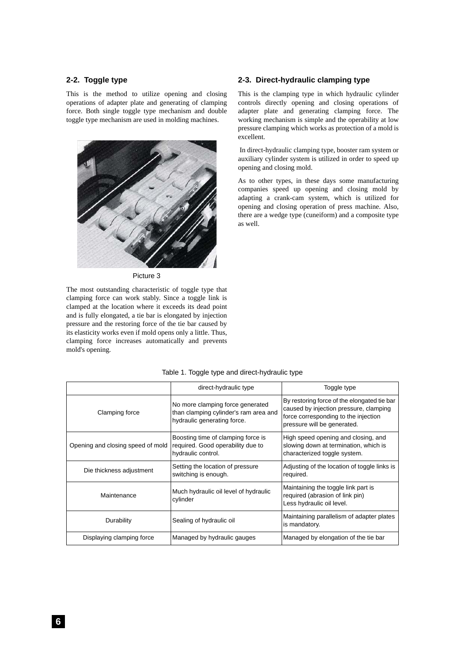#### <span id="page-5-0"></span>**2-2. Toggle type**

This is the method to utilize opening and closing operations of adapter plate and generating of clamping force. Both single toggle type mechanism and double toggle type mechanism are used in molding machines.



Picture 3

The most outstanding characteristic of toggle type that clamping force can work stably. Since a toggle link is clamped at the location where it exceeds its dead point and is fully elongated, a tie bar is elongated by injection pressure and the restoring force of the tie bar caused by its elasticity works even if mold opens only a little. Thus, clamping force increases automatically and prevents mold's opening.

#### <span id="page-5-1"></span>**2-3. Direct-hydraulic clamping type**

This is the clamping type in which hydraulic cylinder controls directly opening and closing operations of adapter plate and generating clamping force. The working mechanism is simple and the operability at low pressure clamping which works as protection of a mold is excellent.

 In direct-hydraulic clamping type, booster ram system or auxiliary cylinder system is utilized in order to speed up opening and closing mold.

As to other types, in these days some manufacturing companies speed up opening and closing mold by adapting a crank-cam system, which is utilized for opening and closing operation of press machine. Also, there are a wedge type (cuneiform) and a composite type as well.

|                                   | direct-hydraulic type                                                                                    | Toggle type                                                                                                                                                  |
|-----------------------------------|----------------------------------------------------------------------------------------------------------|--------------------------------------------------------------------------------------------------------------------------------------------------------------|
| Clamping force                    | No more clamping force generated<br>than clamping cylinder's ram area and<br>hydraulic generating force. | By restoring force of the elongated tie bar<br>caused by injection pressure, clamping<br>force corresponding to the injection<br>pressure will be generated. |
| Opening and closing speed of mold | Boosting time of clamping force is<br>required. Good operability due to<br>hydraulic control.            | High speed opening and closing, and<br>slowing down at termination, which is<br>characterized toggle system.                                                 |
| Die thickness adjustment          | Setting the location of pressure<br>switching is enough.                                                 | Adjusting of the location of toggle links is<br>required.                                                                                                    |
| Maintenance                       | Much hydraulic oil level of hydraulic<br>cylinder                                                        | Maintaining the toggle link part is<br>required (abrasion of link pin)<br>Less hydraulic oil level.                                                          |
| Durability                        | Sealing of hydraulic oil                                                                                 | Maintaining parallelism of adapter plates<br>is mandatory.                                                                                                   |
| Displaying clamping force         | Managed by hydraulic gauges                                                                              | Managed by elongation of the tie bar                                                                                                                         |

#### Table 1. Toggle type and direct-hydraulic type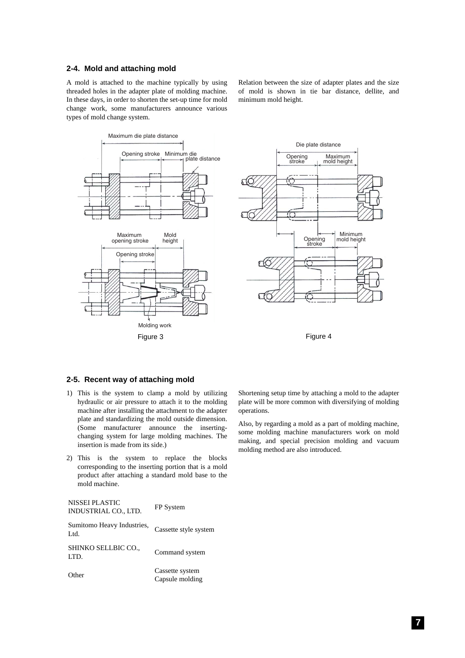#### <span id="page-6-0"></span>**2-4. Mold and attaching mold**

A mold is attached to the machine typically by using threaded holes in the adapter plate of molding machine. In these days, in order to shorten the set-up time for mold change work, some manufacturers announce various types of mold change system.

Relation between the size of adapter plates and the size of mold is shown in tie bar distance, dellite, and minimum mold height.



<span id="page-6-1"></span>**2-5. Recent way of attaching mold**

- 1) This is the system to clamp a mold by utilizing hydraulic or air pressure to attach it to the molding machine after installing the attachment to the adapter plate and standardizing the mold outside dimension. (Some manufacturer announce the insertingchanging system for large molding machines. The insertion is made from its side.)
- 2) This is the system to replace the blocks corresponding to the inserting portion that is a mold product after attaching a standard mold base to the mold machine.

| NISSEI PLASTIC<br>INDUSTRIAL CO., LTD. | FP System                          |
|----------------------------------------|------------------------------------|
| Sumitomo Heavy Industries,<br>Ltd.     | Cassette style system              |
| SHINKO SELLBIC CO.,<br>LTD.            | Command system                     |
| Other                                  | Cassette system<br>Capsule molding |

Shortening setup time by attaching a mold to the adapter plate will be more common with diversifying of molding operations.

Also, by regarding a mold as a part of molding machine, some molding machine manufacturers work on mold making, and special precision molding and vacuum molding method are also introduced.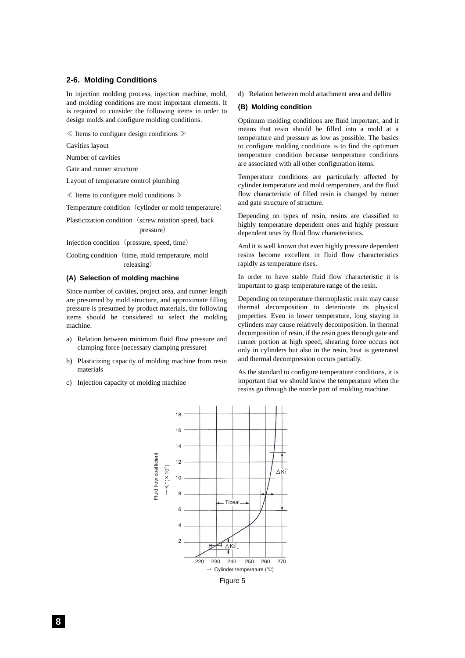#### <span id="page-7-0"></span>**2-6. Molding Conditions**

In injection molding process, injection machine, mold, and molding conditions are most important elements. It is required to consider the following items in order to design molds and configure molding conditions.

≪ Items to configure design conditions ≫

Cavities layout

Number of cavities

Gate and runner structure

Layout of temperature control plumbing

≪ Items to configure mold conditions ≫

Temperature condition (cylinder or mold temperature)

Plasticization condition (screw rotation speed, back pressure)

Injection condition (pressure, speed, time)

Cooling condition (time, mold temperature, mold releasing)

#### **(A) Selection of molding machine**

Since number of cavities, project area, and runner length are presumed by mold structure, and approximate filling pressure is presumed by product materials, the following items should be considered to select the molding machine.

- a) Relation between minimum fluid flow pressure and clamping force (necessary clamping pressure)
- b) Plasticizing capacity of molding machine from resin materials
- c) Injection capacity of molding machine

d) Relation between mold attachment area and dellite

#### **(B) Molding condition**

Optimum molding conditions are fluid important, and it means that resin should be filled into a mold at a temperature and pressure as low as possible. The basics to configure molding conditions is to find the optimum temperature condition because temperature conditions are associated with all other configuration items.

Temperature conditions are particularly affected by cylinder temperature and mold temperature, and the fluid flow characteristic of filled resin is changed by runner and gate structure of structure.

Depending on types of resin, resins are classified to highly temperature dependent ones and highly pressure dependent ones by fluid flow characteristics.

And it is well known that even highly pressure dependent resins become excellent in fluid flow characteristics rapidly as temperature rises.

In order to have stable fluid flow characteristic it is important to grasp temperature range of the resin.

Depending on temperature thermoplastic resin may cause thermal decomposition to deteriorate its physical properties. Even in lower temperature, long staying in cylinders may cause relatively decomposition. In thermal decomposition of resin, if the resin goes through gate and runner portion at high speed, shearing force occurs not only in cylinders but also in the resin, heat is generated and thermal decompression occurs partially.

As the standard to configure temperature conditions, it is important that we should know the temperature when the resins go through the nozzle part of molding machine.

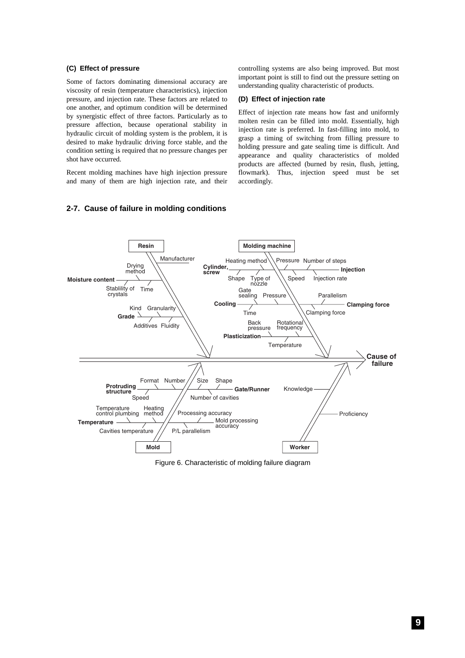#### **(C) Effect of pressure**

Some of factors dominating dimensional accuracy are viscosity of resin (temperature characteristics), injection pressure, and injection rate. These factors are related to one another, and optimum condition will be determined by synergistic effect of three factors. Particularly as to pressure affection, because operational stability in hydraulic circuit of molding system is the problem, it is desired to make hydraulic driving force stable, and the condition setting is required that no pressure changes per shot have occurred.

Recent molding machines have high injection pressure and many of them are high injection rate, and their controlling systems are also being improved. But most important point is still to find out the pressure setting on understanding quality characteristic of products.

#### **(D) Effect of injection rate**

Effect of injection rate means how fast and uniformly molten resin can be filled into mold. Essentially, high injection rate is preferred. In fast-filling into mold, to grasp a timing of switching from filling pressure to holding pressure and gate sealing time is difficult. And appearance and quality characteristics of molded products are affected (burned by resin, flush, jetting, flowmark). Thus, injection speed must be set accordingly.

# <span id="page-8-0"></span>**2-7. Cause of failure in molding conditions**



Figure 6. Characteristic of molding failure diagram